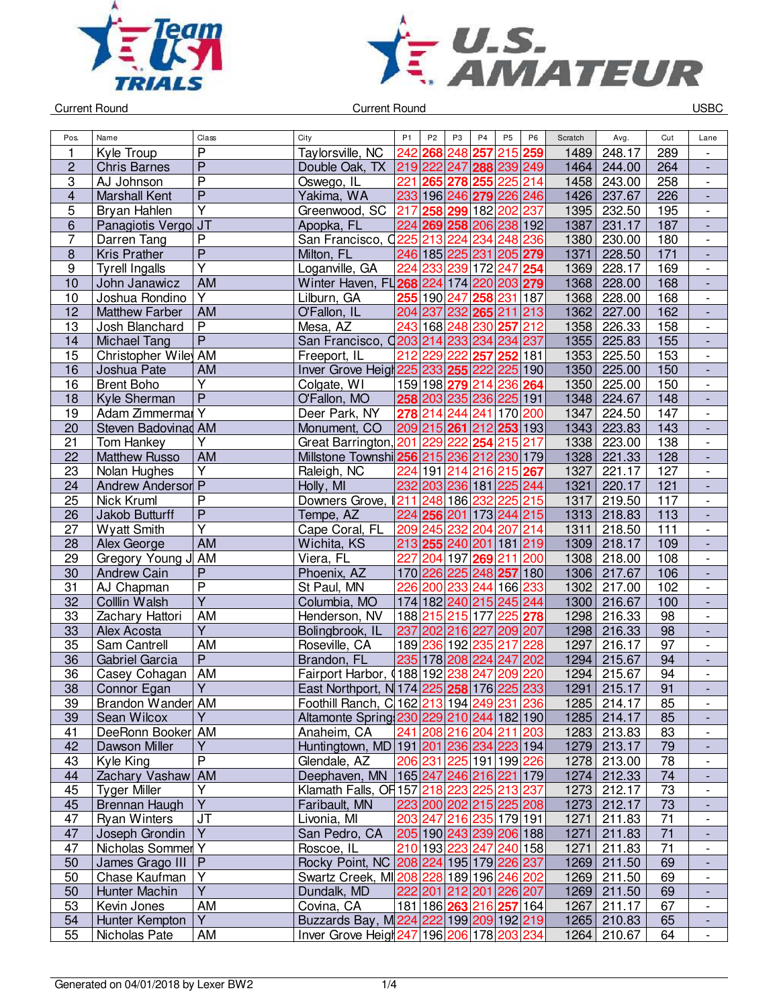



| Pos.                    | Name                        | Class                   | City                                                | P <sub>1</sub> | P <sub>2</sub> | P <sub>3</sub>          | P <sub>4</sub> | P <sub>5</sub> | P <sub>6</sub> | Scratch | Avg.        | Cut | Lane                         |
|-------------------------|-----------------------------|-------------------------|-----------------------------------------------------|----------------|----------------|-------------------------|----------------|----------------|----------------|---------|-------------|-----|------------------------------|
| 1                       | Kyle Troup                  | P                       | Taylorsville, NC                                    | 242            | 268            | 248                     | 257            |                | 215 259        | 1489    | 248.17      | 289 |                              |
| $\overline{c}$          | <b>Chris Barnes</b>         | $\overline{P}$          | Double Oak, TX                                      |                |                | 219 222 247             | 288 239 249    |                |                | 1464    | 244.00      | 264 | $\frac{1}{2}$                |
| 3                       | AJ Johnson                  | $\overline{\mathsf{P}}$ | Oswego, IL                                          | 221            | 265            | 278                     | 255            | 225 214        |                | 1458    | 243.00      | 258 | $\overline{\phantom{0}}$     |
| $\overline{\mathbf{4}}$ | <b>Marshall Kent</b>        | $\overline{P}$          | Yakima, WA                                          | 233            |                | 196 246 279             |                | 226 246        |                | 1426    | 237.67      | 226 | $\overline{a}$               |
| 5                       | Bryan Hahlen                | $\overline{\mathsf{Y}}$ | Greenwood, SC                                       | 217            | 258            | 299                     | 182            | 202            | 237            | 1395    | 232.50      | 195 | $\overline{\phantom{a}}$     |
| 6                       | Panagiotis Vergo JT         |                         | Apopka, FL                                          | 224            |                | 269 258 206 238 192     |                |                |                | 1387    | 231.17      | 187 | $\blacksquare$               |
| 7                       | Darren Tang                 | P                       | San Francisco, C                                    | 225            | 213            | 224                     | 234            | 248            | 236            | 1380    | 230.00      | 180 | $\overline{\phantom{a}}$     |
| $\bf 8$                 | <b>Kris Prather</b>         | $\overline{P}$          | Milton, FL                                          |                |                | 246 185 225 231         |                | 205 279        |                | 1371    | 228.50      | 171 | $\overline{\phantom{a}}$     |
| 9                       | <b>Tyrell Ingalls</b>       | Ÿ                       | Loganville, GA                                      | 224            | 233            | 239 172                 |                | 247            | 254            | 1369    | 228.17      | 169 | $\overline{\phantom{a}}$     |
| $\overline{10}$         | John Janawicz               | <b>AM</b>               | Winter Haven, FL 268 224 174 220                    |                |                |                         |                | 203 279        |                | 1368    | 228.00      | 168 | $\qquad \qquad \blacksquare$ |
| 10                      | Joshua Rondino              | Υ                       | Lilburn, GA                                         | 255            | 190            | 247                     | 258            | 231            | 187            | 1368    | 228.00      | 168 | $\overline{\phantom{0}}$     |
| 12                      | <b>Matthew Farber</b>       | <b>AM</b>               | O'Fallon, IL                                        |                | 204 237        |                         | 232 265        | 211            | 213            | 1362    | 227.00      | 162 |                              |
| 13                      | Josh Blanchard              | $\overline{\mathsf{P}}$ | Mesa, AZ                                            | 243            |                | 168 248                 | 230            | 257            | 212            | 1358    | 226.33      | 158 | $\overline{\phantom{0}}$     |
| 14                      | <b>Michael Tang</b>         | $\overline{P}$          | San Francisco, 0203 214                             |                |                | 233                     | 234            | 234            | 237            | 1355    | 225.83      | 155 |                              |
| $\overline{15}$         | Christopher Wiley AM        |                         | Freeport, IL                                        | 212            | 229            | 222                     | 257            | 252            | 181            | 1353    | 225.50      | 153 | $\overline{\phantom{a}}$     |
| 16                      | Joshua Pate                 | <b>AM</b>               | Inver Grove Heigh 225 233 255                       |                |                |                         | 222            | 225 190        |                | 1350    | 225.00      | 150 | ÷,                           |
| 16                      | <b>Brent Boho</b>           | Ÿ                       | Colgate, WI                                         |                |                | 159 198 279             | 214            | 236            | 264            | 1350    | 225.00      | 150 | $\overline{\phantom{a}}$     |
| 18                      | Kyle Sherman                | $\overline{P}$          | O'Fallon, MO                                        |                |                | 258 203 235 236         |                | 225 191        |                | 1348    | 224.67      | 148 | $\overline{\phantom{a}}$     |
| 19                      | Adam Zimmermal <sub>Y</sub> |                         | Deer Park, NY                                       | 278            | 214            | 244                     | 241            | 170 200        |                | 1347    | 224.50      | 147 |                              |
| 20                      | Steven Badovinad AM         |                         | Monument, CO                                        |                |                | 209 215 261             | 212 253 193    |                |                | 1343    | 223.83      | 143 |                              |
| 21                      | Tom Hankey                  | Υ                       | Great Barrington, 201                               |                |                | 229 222                 | 254            | 215            | 217            | 1338    | 223.00      | 138 | $\overline{\phantom{a}}$     |
| 22                      | <b>Matthew Russo</b>        | <b>AM</b>               | Millstone Townshi 256 215 236 212 230 179           |                |                |                         |                |                |                | 1328    | 221.33      | 128 | $\overline{a}$               |
| 23                      | Nolan Hughes                | $\overline{\mathsf{Y}}$ | Raleigh, NC                                         | 224            |                | 191 214                 | 216            | 215 267        |                | 1327    | 221.17      | 127 | $\overline{\phantom{0}}$     |
| 24                      | <b>Andrew Anderson P</b>    |                         | Holly, MI                                           | 232            |                | 203 236 181             |                | 225 244        |                | 1321    | 220.17      | 121 |                              |
| 25                      | Nick Kruml                  | $\overline{P}$          | Downers Grove,                                      |                |                | 211 248 186 232         |                | 225 215        |                | 1317    | 219.50      | 117 |                              |
| 26                      | Jakob Butturff              | $\overline{\mathsf{P}}$ | Tempe, AZ                                           |                |                | 224 256 201 173         |                | 244 215        |                | 1313    | 218.83      | 113 | $\overline{a}$               |
| 27                      | <b>Wyatt Smith</b>          | $\overline{Y}$          | Cape Coral, FL                                      |                | 209 245        | 232                     | 204            | 207            | 214            | 1311    | 218.50      | 111 | $\overline{\phantom{a}}$     |
| 28                      | Alex George                 | <b>AM</b>               | Wichita, KS                                         |                |                | 213 255 240 201         |                | 181 219        |                | 1309    | 218.17      | 109 | $\overline{\phantom{a}}$     |
| 29                      | Gregory Young J             | AM                      | Viera, FL                                           | 227            |                | 204 197                 | 269            | 211            | 200            | 1308    | 218.00      | 108 | $\overline{\phantom{a}}$     |
| 30                      | <b>Andrew Cain</b>          | $\overline{P}$          | Phoenix, AZ                                         |                |                | 170 226 225 248         |                | 257 180        |                | 1306    | 217.67      | 106 | $\qquad \qquad \blacksquare$ |
| 31                      | AJ Chapman                  | $\overline{\mathsf{P}}$ | St Paul, MN                                         | 226            | 200            | 233                     | 244            | 166 233        |                | 1302    | 217.00      | 102 | $\overline{\phantom{0}}$     |
| 32                      | Colllin Walsh               | $\overline{Y}$          | Columbia, MO                                        |                |                | 174 182 240 215         |                | 245 244        |                | 1300    | 216.67      | 100 |                              |
| 33                      | Zachary Hattori             | $\overline{AM}$         | Henderson, NV                                       |                | 188 215        | 215                     | 177            | 225            | 278            | 1298    | 216.33      | 98  | $\overline{\phantom{0}}$     |
| 33                      | Alex Acosta                 | Υ                       | Bolingbrook, IL                                     | 237            |                | 202 216 227             |                | 209 207        |                | 1298    | 216.33      | 98  | $\frac{1}{2}$                |
| 35                      | Sam Cantrell                | AM                      | Roseville, CA                                       |                |                | 189 236 192 235         |                | 217            | 228            | 1297    | 216.17      | 97  |                              |
| 36                      | Gabriel Garcia              | $\overline{P}$          | Brandon, FL                                         |                |                | 235 178 208 224         |                | 247 202        |                | 1294    | 215.67      | 94  | $\overline{a}$               |
| 36                      | Casey Cohagan               | <b>AM</b>               | Fairport Harbor, (188 192 238                       |                |                |                         | 247            | 209            | 220            | 1294    | 215.67      | 94  | $\overline{\phantom{0}}$     |
| 38                      | Connor Egan                 | Υ                       | East Northport, N 174 225 258 176 225 233           |                |                |                         |                |                |                | 1291    | 215.17      | 91  |                              |
| 39                      | Brandon Wander AM           |                         | Foothill Ranch, C 162 213 194 249 231 236           |                |                |                         |                |                |                |         | 1285 214.17 | 85  | $\overline{\phantom{a}}$     |
| 39                      | Sean Wilcox                 | Y                       | Altamonte Spring 230 229 210 244 182 190            |                |                |                         |                |                |                |         | 1285 214.17 | 85  | -                            |
| 41                      | DeeRonn Booker AM           |                         | Anaheim, CA                                         |                |                | 241 208 216 204 211 203 |                |                |                |         | 1283 213.83 | 83  | $\overline{\phantom{0}}$     |
| 42                      | Dawson Miller               | Υ                       | Huntingtown, MD   191   201   236   234   223   194 |                |                |                         |                |                |                |         | 1279 213.17 | 79  | ٠                            |
| 43                      | Kyle King                   | $\overline{\mathsf{P}}$ | Glendale, AZ                                        |                |                | 206 231 225 191 199 226 |                |                |                |         | 1278 213.00 | 78  | $\overline{\phantom{a}}$     |
| 44                      | Zachary Vashaw AM           |                         | Deephaven, MN   165 247 246 216 221 179             |                |                |                         |                |                |                |         | 1274 212.33 | 74  |                              |
| 45                      | <b>Tyger Miller</b>         | Υ                       | Klamath Falls, OF 157 218 223 225 213 237           |                |                |                         |                |                |                | 1273    | 212.17      | 73  | $\frac{1}{2}$                |
| 45                      | Brennan Haugh               | $\overline{Y}$          | Faribault, MN                                       |                |                | 223 200 202 215 225 208 |                |                |                |         | 1273 212.17 | 73  | $\frac{1}{2}$                |
| 47                      | <b>Ryan Winters</b>         | <b>JT</b>               | Livonia, MI                                         |                |                | 203 247 216 235 179 191 |                |                |                | 1271    | 211.83      | 71  | $\overline{\phantom{a}}$     |
| 47                      | Joseph Grondin              | Y                       | San Pedro, CA                                       |                |                | 205 190 243 239 206 188 |                |                |                | 1271    | 211.83      | 71  | $\overline{\phantom{a}}$     |
| 47                      | Nicholas Sommer Y           |                         | Roscoe, IL                                          |                |                | 210 193 223 247 240 158 |                |                |                | 1271    | 211.83      | 71  | $\qquad \qquad \blacksquare$ |
| 50                      | James Grago III   P         |                         | Rocky Point, NC 208 224 195 179 226 237             |                |                |                         |                |                |                |         | 1269 211.50 | 69  | ٠                            |
| 50                      | Chase Kaufman               | Y                       | Swartz Creek, MI208 228 189 196 246 202             |                |                |                         |                |                |                |         | 1269 211.50 | 69  | $\overline{\phantom{a}}$     |
| 50                      | Hunter Machin               | $\overline{Y}$          | Dundalk, MD                                         |                |                | 222 201 212 201 226 207 |                |                |                |         | 1269 211.50 | 69  | ٠                            |
| 53                      | Kevin Jones                 | AM                      | Covina, CA                                          |                |                | 181 186 263 216 257 164 |                |                |                | 1267    | 211.17      | 67  | $\overline{\phantom{a}}$     |
| 54                      | Hunter Kempton              | Y                       | Buzzards Bay, M224 222 199 209 192 219              |                |                |                         |                |                |                |         | 1265 210.83 | 65  |                              |
| 55                      | Nicholas Pate               | AM                      | Inver Grove Heigh 247 196 206 178 203 234           |                |                |                         |                |                |                |         | 1264 210.67 | 64  | $\blacksquare$               |
|                         |                             |                         |                                                     |                |                |                         |                |                |                |         |             |     |                              |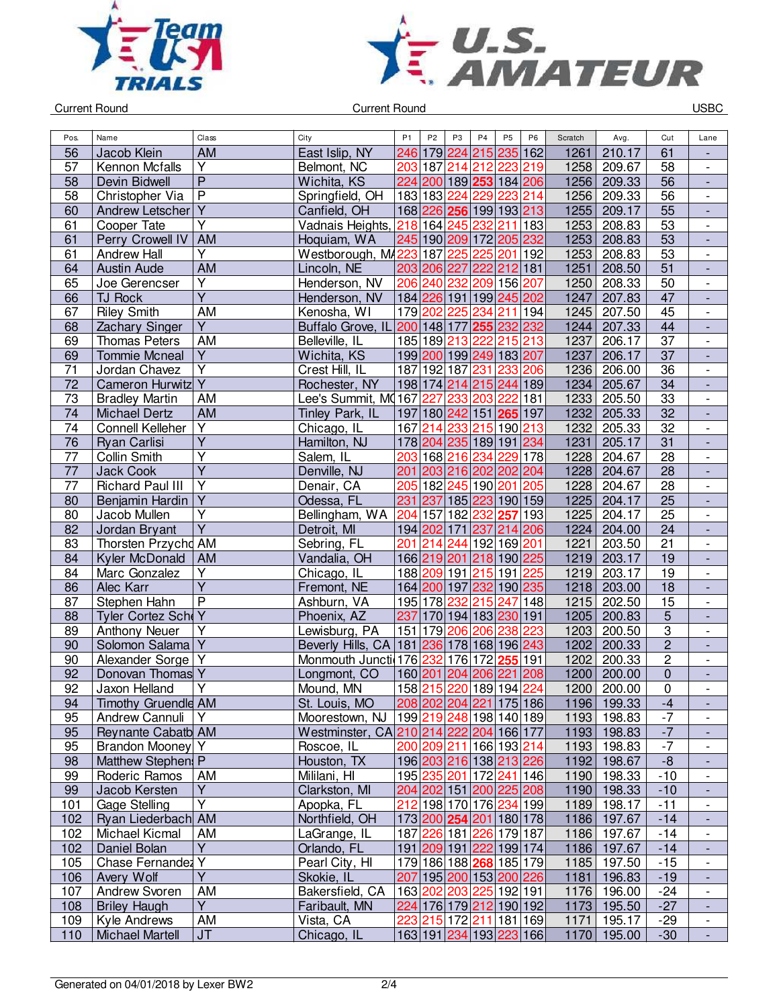



| Pos.            | Name                                 | Class                                              | City                                    | P <sub>1</sub>   | P <sub>2</sub> | P <sub>3</sub>  | P <sub>4</sub>     | P <sub>5</sub>                                 | P <sub>6</sub>          | Scratch      | Avg.             | Cut                              | Lane                                       |
|-----------------|--------------------------------------|----------------------------------------------------|-----------------------------------------|------------------|----------------|-----------------|--------------------|------------------------------------------------|-------------------------|--------------|------------------|----------------------------------|--------------------------------------------|
| 56              | Jacob Klein                          | <b>AM</b>                                          | East Islip, NY                          |                  |                | 246 179 224     | 215                | 235 162                                        |                         | 1261         | 210.17           | 61                               |                                            |
| 57              | Kennon Mcfalls                       | Υ                                                  | Belmont, NC                             | 203              |                |                 | 187 214 212        | 223                                            | 219                     | 1258         | 209.67           | 58                               | $\overline{\phantom{0}}$                   |
| 58              | Devin Bidwell                        | $\overline{\mathsf{P}}$                            | Wichita, KS                             |                  |                |                 |                    | 224 200 189 253 184 206                        |                         | 1256         | 209.33           | 56                               | $\overline{\phantom{a}}$                   |
| 58              | Christopher Via                      | $\overline{\mathsf{P}}$                            | Springfield, OH                         |                  |                | 183 183 224     | 229                | 223 214                                        |                         | 1256         | 209.33           | 56                               | $\overline{\phantom{0}}$                   |
| 60              | Andrew Letscher                      | $\overline{Y}$                                     | Canfield, OH                            |                  |                |                 |                    | 168 226 256 199 193 213                        |                         | 1255         | 209.17           | $\overline{55}$                  | $\overline{a}$                             |
| 61              | Cooper Tate                          | Y                                                  | Vadnais Heights,                        | 218 164          |                | 245             |                    | 232 211 183                                    |                         | 1253         | 208.83           | 53                               | $\overline{\phantom{a}}$                   |
| 61              | Perry Crowell IV                     | <b>AM</b>                                          | Hoquiam, WA                             |                  |                |                 |                    | 245 190 209 172 205 232                        |                         | 1253         | 208.83           | 53                               | $\blacksquare$                             |
| 61              | <b>Andrew Hall</b>                   | Y                                                  | Westborough, M4223                      |                  | 187            | 225             | 225                | 201                                            | 192                     | 1253         | 208.83           | 53                               | $\frac{1}{2}$                              |
| 64              | <b>Austin Aude</b>                   | <b>AM</b>                                          | Lincoln, NE                             |                  |                |                 | 203 206 227 222    | 212 181                                        |                         | 1251         | 208.50           | 51                               | $\frac{1}{2}$                              |
| 65              | Joe Gerencser                        | Υ                                                  | Henderson, NV                           |                  |                |                 |                    | 206 240 232 209 156 207                        |                         | 1250         | 208.33           | 50                               | $\overline{\phantom{a}}$                   |
| 66              | <b>TJ Rock</b>                       | $\overline{\mathsf{Y}}$                            | Henderson, NV                           |                  |                |                 |                    | 184 226 191 199 245 202                        |                         | 1247         | 207.83           | 47                               | $\qquad \qquad \blacksquare$               |
| 67              | <b>Riley Smith</b>                   | AM                                                 | Kenosha, WI                             |                  | 179 202        | 225             | 234                | 211                                            | 194                     | 1245         | 207.50           | 45                               | $\overline{\phantom{0}}$                   |
| 68              | Zachary Singer                       | $\overline{Y}$                                     | Buffalo Grove, IL                       | 200 148 177      |                |                 | 255                | 232 232                                        |                         | 1244         | 207.33           | 44                               |                                            |
| 69              | <b>Thomas Peters</b>                 | <b>AM</b>                                          | Belleville, IL                          |                  |                | 185 189 213     | 222                | 215 213                                        |                         | 1237         | 206.17           | $\overline{37}$                  | $\overline{\phantom{0}}$                   |
| 69              | <b>Tommie Mcneal</b>                 | $\overline{Y}$                                     | Wichita, KS                             |                  |                |                 | 199 200 199 249    | 183 207                                        |                         | 1237         | 206.17           | $\overline{37}$                  | $\overline{a}$                             |
| 71              | Jordan Chavez                        | $\overline{\mathsf{Y}}$                            |                                         |                  |                | 187 192 187 231 |                    | 233 206                                        |                         | 1236         | 206.00           | 36                               | $\frac{1}{2}$                              |
| 72              | Cameron Hurwitz Y                    |                                                    | Crest Hill, IL                          |                  |                |                 |                    | 198 174 214 215 244 189                        |                         |              | 205.67           | 34                               |                                            |
| $\overline{73}$ |                                      |                                                    | Rochester, NY<br>Lee's Summit, MQ167    |                  |                |                 |                    | 222                                            |                         | 1234         |                  |                                  | $\overline{a}$                             |
|                 | <b>Bradley Martin</b>                | AM                                                 |                                         |                  | 227            | 233             | 203                |                                                | 181                     | 1233         | 205.50           | 33                               | $\frac{1}{2}$                              |
| 74              | Michael Dertz                        | AM                                                 | Tinley Park, IL                         |                  |                |                 |                    | 197 180 242 151 265 197                        |                         | 1232         | 205.33           | 32                               | $\overline{\phantom{a}}$                   |
| 74              | <b>Connell Kelleher</b>              | $\overline{\mathsf{Y}}$<br>$\overline{\mathsf{Y}}$ | Chicago, IL                             | 167              | 214            |                 |                    | 233 215 190 213                                |                         | 1232         | 205.33           | 32                               | $\overline{\phantom{0}}$                   |
| $\overline{76}$ | Ryan Carlisi                         | $\overline{\mathsf{Y}}$                            | Hamilton, NJ                            |                  |                |                 |                    | 178 204 235 189 191 234                        |                         | 1231         | 205.17           | 31                               | $\qquad \qquad \blacksquare$               |
| 77              | Collin Smith                         |                                                    | Salem, IL                               | 203              |                | 168 216 234     |                    | 229 178                                        |                         | 1228         | 204.67           | 28                               | $\overline{\phantom{a}}$                   |
| 77              | <b>Jack Cook</b>                     | $\overline{\mathsf{Y}}$                            | Denville, NJ                            | 201              |                |                 | 203 216 202        | 202 204                                        |                         | 1228         | 204.67           | 28                               | $\overline{\phantom{a}}$                   |
| 77              | <b>Richard Paul III</b>              | Ÿ                                                  | Denair, CA                              | 205              |                |                 | 182 245 190 201    |                                                | 205                     | 1228         | 204.67           | 28                               | $\overline{\phantom{0}}$                   |
| 80              | Benjamin Hardin                      | Y<br>$\overline{\mathsf{Y}}$                       | Odessa, FL                              | 231              | 237            |                 | 185 223            | 190 159                                        |                         | 1225         | 204.17           | 25                               | ÷                                          |
| 80              | Jacob Mullen                         | $\overline{Y}$                                     | Bellingham, WA                          |                  |                |                 | 204 157 182 232    | 257 193                                        |                         | 1225         | 204.17           | $\overline{25}$                  | $\blacksquare$                             |
| 82              | Jordan Bryant<br>Thorsten Przychd AM |                                                    | Detroit, MI                             | $\overline{201}$ |                |                 | 194 202 171 237    | 214 206                                        |                         | 1224<br>1221 | 204.00           | 24                               | $\blacksquare$<br>$\overline{\phantom{a}}$ |
| 83<br>84        |                                      |                                                    | Sebring, FL                             |                  |                |                 |                    | 214 244 192 169 201<br>166 219 201 218 190 225 |                         | 1219         | 203.50<br>203.17 | 21<br>19                         |                                            |
|                 | Kyler McDonald                       | <b>AM</b>                                          | Vandalia, OH                            |                  |                |                 |                    |                                                |                         |              |                  |                                  | $\overline{\phantom{a}}$                   |
| 84              | Marc Gonzalez                        | Υ<br>$\overline{\mathsf{Y}}$                       | Chicago, IL                             |                  |                |                 |                    | 188 209 191 215 191                            | 225                     | 1219<br>1218 | 203.17           | 19<br>$\overline{18}$            | $\overline{\phantom{0}}$                   |
| 86              | Alec Karr                            | P                                                  | Fremont, NE                             |                  |                |                 |                    | 164 200 197 232 190 235                        |                         | 1215         | 203.00<br>202.50 | 15                               | $\qquad \qquad \blacksquare$               |
| 87              | Stephen Hahn<br>Tyler Cortez SchoY   |                                                    | Ashburn, VA<br>Phoenix, AZ              |                  |                | 195 178 232     | 215                | 247 148                                        |                         | 1205         |                  |                                  | $\overline{\phantom{0}}$                   |
| 88              |                                      | Υ                                                  | Lewisburg, PA                           | 237<br>151       |                |                 | 170 194 183<br>206 | 230 191<br>238 223                             |                         | 1203         | 200.83<br>200.50 | $\overline{5}$<br>$\overline{3}$ |                                            |
| 89              | <b>Anthony Neuer</b>                 | Y                                                  |                                         |                  |                | 179 206         |                    |                                                |                         |              |                  | $\overline{2}$                   | $\overline{\phantom{a}}$                   |
| 90              | Solomon Salama                       |                                                    | Beverly Hills, CA   181   236           |                  |                |                 | 178 168            | 196 243                                        |                         | 1202         | 200.33<br>200.33 |                                  |                                            |
| 90<br>92        | Alexander Sorge <sup>V</sup>         |                                                    | Monmouth Juncti 176 232                 |                  |                |                 | 176 172            | 255 191                                        |                         | 1202<br>1200 | 200.00           | $\overline{c}$<br>$\mathbf 0$    | $\frac{1}{2}$                              |
|                 | Donovan Thomas Y                     | $\overline{Y}$                                     | Longmont, CO                            |                  |                |                 | 160 201 204 206    | 221 208                                        |                         |              |                  |                                  | $\overline{\phantom{a}}$                   |
| 92              | Jaxon Helland                        |                                                    | Mound, MN                               |                  |                |                 |                    | 158 215 220 189 194 224                        |                         | 1200         | 200.00           | $\overline{0}$                   | $\overline{\phantom{0}}$                   |
| 94              | <b>Timothy Gruendle AM</b>           |                                                    | St. Louis, MO                           |                  |                |                 |                    |                                                | 208 202 204 221 175 186 |              | 1196 199.33      | $-4$                             | ٠                                          |
| 95              | Andrew Cannuli                       | Y                                                  | Moorestown, NJ                          |                  |                |                 |                    | 199 219 248 198 140 189                        |                         | 1193         | 198.83           | $-7$                             | $\overline{\phantom{a}}$                   |
| 95              | Reynante Cabatb AM                   |                                                    | Westminster, CA 210 214 222 204 166 177 |                  |                |                 |                    |                                                |                         |              | 1193 198.83      | $-7$                             | -                                          |
| 95              | Brandon Mooney Y                     |                                                    | Roscoe, IL                              |                  |                |                 |                    | 200 209 211 166 193 214                        |                         |              | 1193 198.83      | $-7$                             | $\overline{\phantom{0}}$                   |
| 98              | Matthew Stephen: P                   |                                                    | Houston, TX                             |                  |                |                 |                    | 196 203 216 138 213 226                        |                         |              | 1192 198.67      | $-8$                             | $\overline{a}$                             |
| 99              | Roderic Ramos                        | AM                                                 | Mililani, HI                            |                  |                |                 |                    | 195 235 201 172 241 146                        |                         | 1190         | 198.33           | $-10$                            | $\overline{\phantom{a}}$                   |
| 99              | Jacob Kersten                        | Υ                                                  | Clarkston, MI                           |                  |                |                 |                    | 204 202 151 200 225 208                        |                         |              | 1190 198.33      | $-10$                            |                                            |
| 101             | <b>Gage Stelling</b>                 | $\overline{Y}$                                     | Apopka, FL                              | 212              |                |                 |                    | 198 170 176 234 199                            |                         | 1189         | 198.17           | $-11$                            |                                            |
| 102             | Ryan Liederbach AM                   |                                                    | Northfield, OH                          |                  |                |                 |                    | 173 200 254 201 180 178                        |                         |              | 1186 197.67      | $-14$                            | $\overline{\phantom{a}}$                   |
| 102             | Michael Kicmal                       | AM                                                 | LaGrange, IL                            |                  |                |                 |                    | 187 226 181 226 179 187                        |                         |              | 1186 197.67      | $-14$                            | $\overline{\phantom{0}}$                   |
| 102             | Daniel Bolan                         | Y                                                  | Orlando, FL                             |                  |                |                 |                    | 191 209 191 222 199 174                        |                         |              | 1186 197.67      | $-14$                            | $\overline{\phantom{a}}$                   |
| 105             | Chase Fernandez Y                    |                                                    | Pearl City, HI                          |                  |                |                 |                    | 179 186 188 268 185 179                        |                         | 1185         | 197.50           | $-15$                            | $\overline{\phantom{0}}$                   |
| 106             | Avery Wolf                           | $\overline{Y}$                                     | Skokie, IL                              |                  |                |                 |                    | 207 195 200 153 200 226                        |                         |              | 1181   196.83    | $-19$                            | ۰                                          |
| 107             | Andrew Svoren                        | AM                                                 | Bakersfield, CA                         |                  |                |                 |                    | 163 202 203 225 192 191                        |                         | 1176         | 196.00           | $-24$                            | $\overline{\phantom{a}}$                   |
| 108             | <b>Briley Haugh</b>                  | Ÿ                                                  | Faribault, MN                           |                  |                |                 |                    | 224 176 179 212 190 192                        |                         |              | 1173 195.50      | $-27$                            | ٠                                          |
| 109             | Kyle Andrews                         | AM                                                 | Vista, CA                               |                  |                |                 |                    | 223 215 172 211 181 169                        |                         | 1171         | 195.17           | $-29$                            | $\overline{\phantom{0}}$                   |
| 110             | Michael Martell                      | <b>JT</b>                                          | Chicago, IL                             |                  |                |                 |                    | 163 191 234 193 223 166                        |                         | 1170         | 195.00           | $-30$                            | $\overline{\phantom{a}}$                   |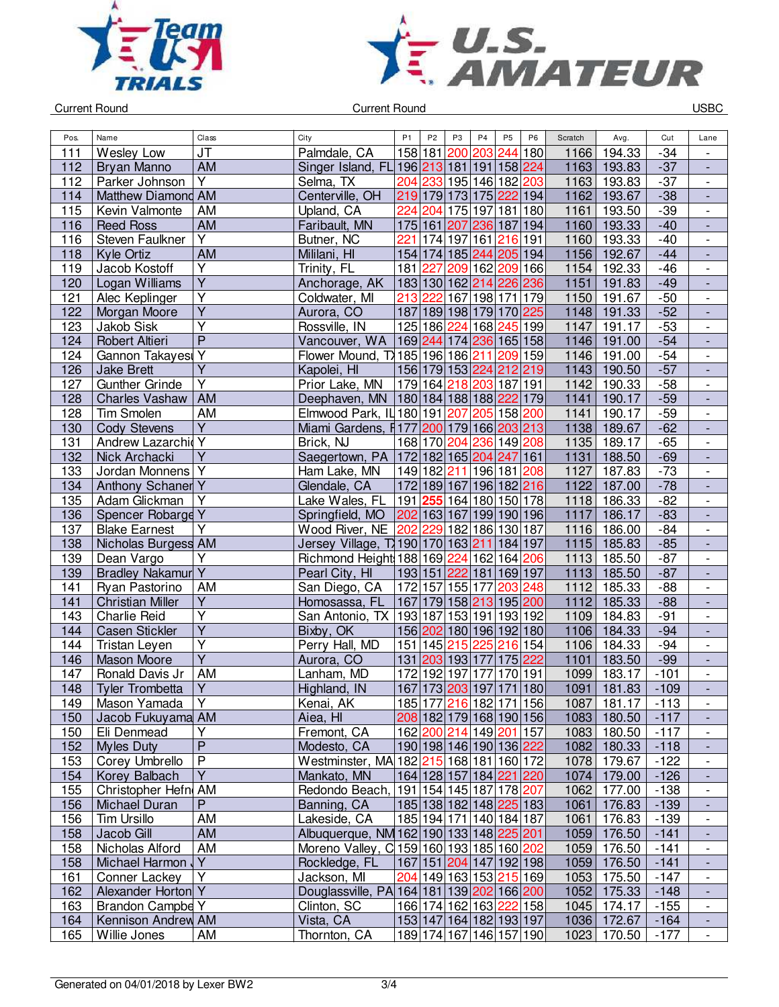



| JT<br>158 181<br>244 180<br>$-34$<br>111<br>Wesley Low<br>Palmdale, CA<br>203<br>1166<br>194.33<br>200<br><b>AM</b><br>Singer Island, FL 196 213 181 191 158 224<br>1163<br>$-37$<br>Bryan Manno<br>193.83<br>112<br>Y<br>112<br>204 233<br>195 146 182 203<br>1163<br>$-37$<br>Parker Johnson<br>Selma, TX<br>193.83<br>Centerville, OH<br>219 179 173 175 222 194<br>Matthew Diamond AM<br>1162<br>$-38$<br>193.67<br>114<br>115<br>175 197 181 180<br>$-39$<br>AM<br>Upland, CA<br>224 204<br>1161<br>Kevin Valmonte<br>193.50<br>AM<br>$-40$<br>116<br>Faribault, MN<br>175 161 207<br>236 187 194<br>1160<br>193.33<br><b>Reed Ross</b><br>$\overline{Y}$<br>116<br>Steven Faulkner<br>Butner, NC<br>221<br>174 197 161<br>216 191<br>193.33<br>$-40$<br>1160<br><b>AM</b><br>Mililani, HI<br>154 174 185 244<br>1156<br>192.67<br>$-44$<br>118<br>Kyle Ortiz<br>205 194<br>$\overline{Y}$<br>181 227<br>209 162<br>209 166<br>1154<br>192.33<br>$-46$<br>119<br>Jacob Kostoff<br>Trinity, FL<br>$\overline{Y}$<br>120<br>183 130 162 214<br>226 236<br>1151<br>$-49$<br>Logan Williams<br>Anchorage, AK<br>191.83<br>Y<br>121<br>Coldwater, MI<br>213 222<br>167 198 171 179<br>1150<br>191.67<br>$-50$<br>Alec Keplinger<br>$\overline{Y}$<br>187 189 198 179 170 225<br>$-52$<br>122<br>Morgan Moore<br>Aurora, CO<br>1148<br>191.33<br>Ÿ<br>$-53$<br>123<br>Rossville, IN<br>125 186<br>224<br>168<br>245 199<br><b>Jakob Sisk</b><br>1147<br>191.17<br>$\overline{P}$<br>$-54$<br>169 244<br>174 236<br>165 158<br>124<br>Robert Altieri<br>Vancouver, WA<br>1146<br>191.00<br>Gannon Takayesi Y<br>Flower Mound, T\185 196 186 211<br>$-54$<br>209 159<br>1146<br>124<br>191.00<br>$\overline{Y}$<br>156 179 153 224 212 219<br>$-57$<br>126<br>1143<br>190.50<br><b>Jake Brett</b><br>Kapolei, HI<br>$\overline{Y}$<br>179 164<br>127<br><b>Gunther Grinde</b><br>Prior Lake, MN<br>218 203 187 191<br>190.33<br>$-58$<br>1142<br><b>AM</b><br>180 184 188 188 222 179<br>$-59$<br>128<br><b>Charles Vashaw</b><br>Deephaven, MN<br>1141<br>190.17<br>128<br><b>Tim Smolen</b><br><b>AM</b><br>Elmwood Park, $ 1 180 191$<br>207<br>205<br>158 200<br>1141<br>190.17<br>$-59$<br>$\overline{Y}$<br>$-62$<br>130<br>Miami Gardens, F177 200 179 166 203 213<br>1138<br>189.67<br><b>Cody Stevens</b><br>Andrew Lazarchid Y<br>$-65$<br>131<br>1135<br>189.17<br>Brick, NJ<br>168 170<br>204 236 149 208<br>$\overline{Y}$<br>Saegertown, PA   172   182   165   204   247   161<br>$-69$<br>132<br>1131<br>188.50<br>Nick Archacki<br>Jordan Monnens <sup>Y</sup><br>149 182 211 196 181 208<br>1127<br>187.83<br>$-73$<br>133<br>Ham Lake, MN | $\blacksquare$<br>$\overline{\phantom{a}}$<br>$\overline{\phantom{a}}$<br>$\overline{\phantom{a}}$<br>÷, |
|-----------------------------------------------------------------------------------------------------------------------------------------------------------------------------------------------------------------------------------------------------------------------------------------------------------------------------------------------------------------------------------------------------------------------------------------------------------------------------------------------------------------------------------------------------------------------------------------------------------------------------------------------------------------------------------------------------------------------------------------------------------------------------------------------------------------------------------------------------------------------------------------------------------------------------------------------------------------------------------------------------------------------------------------------------------------------------------------------------------------------------------------------------------------------------------------------------------------------------------------------------------------------------------------------------------------------------------------------------------------------------------------------------------------------------------------------------------------------------------------------------------------------------------------------------------------------------------------------------------------------------------------------------------------------------------------------------------------------------------------------------------------------------------------------------------------------------------------------------------------------------------------------------------------------------------------------------------------------------------------------------------------------------------------------------------------------------------------------------------------------------------------------------------------------------------------------------------------------------------------------------------------------------------------------------------------------------------------------------------------------------------------------------------------------------------------------------------------------------------------------------------------------------------------------------------------------------------------------------------------------------------------------------------|----------------------------------------------------------------------------------------------------------|
|                                                                                                                                                                                                                                                                                                                                                                                                                                                                                                                                                                                                                                                                                                                                                                                                                                                                                                                                                                                                                                                                                                                                                                                                                                                                                                                                                                                                                                                                                                                                                                                                                                                                                                                                                                                                                                                                                                                                                                                                                                                                                                                                                                                                                                                                                                                                                                                                                                                                                                                                                                                                                                                           |                                                                                                          |
|                                                                                                                                                                                                                                                                                                                                                                                                                                                                                                                                                                                                                                                                                                                                                                                                                                                                                                                                                                                                                                                                                                                                                                                                                                                                                                                                                                                                                                                                                                                                                                                                                                                                                                                                                                                                                                                                                                                                                                                                                                                                                                                                                                                                                                                                                                                                                                                                                                                                                                                                                                                                                                                           |                                                                                                          |
|                                                                                                                                                                                                                                                                                                                                                                                                                                                                                                                                                                                                                                                                                                                                                                                                                                                                                                                                                                                                                                                                                                                                                                                                                                                                                                                                                                                                                                                                                                                                                                                                                                                                                                                                                                                                                                                                                                                                                                                                                                                                                                                                                                                                                                                                                                                                                                                                                                                                                                                                                                                                                                                           |                                                                                                          |
|                                                                                                                                                                                                                                                                                                                                                                                                                                                                                                                                                                                                                                                                                                                                                                                                                                                                                                                                                                                                                                                                                                                                                                                                                                                                                                                                                                                                                                                                                                                                                                                                                                                                                                                                                                                                                                                                                                                                                                                                                                                                                                                                                                                                                                                                                                                                                                                                                                                                                                                                                                                                                                                           |                                                                                                          |
|                                                                                                                                                                                                                                                                                                                                                                                                                                                                                                                                                                                                                                                                                                                                                                                                                                                                                                                                                                                                                                                                                                                                                                                                                                                                                                                                                                                                                                                                                                                                                                                                                                                                                                                                                                                                                                                                                                                                                                                                                                                                                                                                                                                                                                                                                                                                                                                                                                                                                                                                                                                                                                                           |                                                                                                          |
|                                                                                                                                                                                                                                                                                                                                                                                                                                                                                                                                                                                                                                                                                                                                                                                                                                                                                                                                                                                                                                                                                                                                                                                                                                                                                                                                                                                                                                                                                                                                                                                                                                                                                                                                                                                                                                                                                                                                                                                                                                                                                                                                                                                                                                                                                                                                                                                                                                                                                                                                                                                                                                                           |                                                                                                          |
|                                                                                                                                                                                                                                                                                                                                                                                                                                                                                                                                                                                                                                                                                                                                                                                                                                                                                                                                                                                                                                                                                                                                                                                                                                                                                                                                                                                                                                                                                                                                                                                                                                                                                                                                                                                                                                                                                                                                                                                                                                                                                                                                                                                                                                                                                                                                                                                                                                                                                                                                                                                                                                                           | $\overline{\phantom{a}}$                                                                                 |
|                                                                                                                                                                                                                                                                                                                                                                                                                                                                                                                                                                                                                                                                                                                                                                                                                                                                                                                                                                                                                                                                                                                                                                                                                                                                                                                                                                                                                                                                                                                                                                                                                                                                                                                                                                                                                                                                                                                                                                                                                                                                                                                                                                                                                                                                                                                                                                                                                                                                                                                                                                                                                                                           | $\overline{\phantom{a}}$                                                                                 |
|                                                                                                                                                                                                                                                                                                                                                                                                                                                                                                                                                                                                                                                                                                                                                                                                                                                                                                                                                                                                                                                                                                                                                                                                                                                                                                                                                                                                                                                                                                                                                                                                                                                                                                                                                                                                                                                                                                                                                                                                                                                                                                                                                                                                                                                                                                                                                                                                                                                                                                                                                                                                                                                           | $\overline{\phantom{a}}$                                                                                 |
|                                                                                                                                                                                                                                                                                                                                                                                                                                                                                                                                                                                                                                                                                                                                                                                                                                                                                                                                                                                                                                                                                                                                                                                                                                                                                                                                                                                                                                                                                                                                                                                                                                                                                                                                                                                                                                                                                                                                                                                                                                                                                                                                                                                                                                                                                                                                                                                                                                                                                                                                                                                                                                                           | $\overline{\phantom{a}}$                                                                                 |
|                                                                                                                                                                                                                                                                                                                                                                                                                                                                                                                                                                                                                                                                                                                                                                                                                                                                                                                                                                                                                                                                                                                                                                                                                                                                                                                                                                                                                                                                                                                                                                                                                                                                                                                                                                                                                                                                                                                                                                                                                                                                                                                                                                                                                                                                                                                                                                                                                                                                                                                                                                                                                                                           | $\overline{\phantom{a}}$                                                                                 |
|                                                                                                                                                                                                                                                                                                                                                                                                                                                                                                                                                                                                                                                                                                                                                                                                                                                                                                                                                                                                                                                                                                                                                                                                                                                                                                                                                                                                                                                                                                                                                                                                                                                                                                                                                                                                                                                                                                                                                                                                                                                                                                                                                                                                                                                                                                                                                                                                                                                                                                                                                                                                                                                           |                                                                                                          |
|                                                                                                                                                                                                                                                                                                                                                                                                                                                                                                                                                                                                                                                                                                                                                                                                                                                                                                                                                                                                                                                                                                                                                                                                                                                                                                                                                                                                                                                                                                                                                                                                                                                                                                                                                                                                                                                                                                                                                                                                                                                                                                                                                                                                                                                                                                                                                                                                                                                                                                                                                                                                                                                           | $\overline{\phantom{a}}$                                                                                 |
|                                                                                                                                                                                                                                                                                                                                                                                                                                                                                                                                                                                                                                                                                                                                                                                                                                                                                                                                                                                                                                                                                                                                                                                                                                                                                                                                                                                                                                                                                                                                                                                                                                                                                                                                                                                                                                                                                                                                                                                                                                                                                                                                                                                                                                                                                                                                                                                                                                                                                                                                                                                                                                                           | $\overline{\phantom{a}}$                                                                                 |
|                                                                                                                                                                                                                                                                                                                                                                                                                                                                                                                                                                                                                                                                                                                                                                                                                                                                                                                                                                                                                                                                                                                                                                                                                                                                                                                                                                                                                                                                                                                                                                                                                                                                                                                                                                                                                                                                                                                                                                                                                                                                                                                                                                                                                                                                                                                                                                                                                                                                                                                                                                                                                                                           | $\overline{\phantom{a}}$                                                                                 |
|                                                                                                                                                                                                                                                                                                                                                                                                                                                                                                                                                                                                                                                                                                                                                                                                                                                                                                                                                                                                                                                                                                                                                                                                                                                                                                                                                                                                                                                                                                                                                                                                                                                                                                                                                                                                                                                                                                                                                                                                                                                                                                                                                                                                                                                                                                                                                                                                                                                                                                                                                                                                                                                           | $\overline{\phantom{a}}$                                                                                 |
|                                                                                                                                                                                                                                                                                                                                                                                                                                                                                                                                                                                                                                                                                                                                                                                                                                                                                                                                                                                                                                                                                                                                                                                                                                                                                                                                                                                                                                                                                                                                                                                                                                                                                                                                                                                                                                                                                                                                                                                                                                                                                                                                                                                                                                                                                                                                                                                                                                                                                                                                                                                                                                                           | $\overline{\phantom{a}}$                                                                                 |
|                                                                                                                                                                                                                                                                                                                                                                                                                                                                                                                                                                                                                                                                                                                                                                                                                                                                                                                                                                                                                                                                                                                                                                                                                                                                                                                                                                                                                                                                                                                                                                                                                                                                                                                                                                                                                                                                                                                                                                                                                                                                                                                                                                                                                                                                                                                                                                                                                                                                                                                                                                                                                                                           | $\overline{\phantom{a}}$                                                                                 |
|                                                                                                                                                                                                                                                                                                                                                                                                                                                                                                                                                                                                                                                                                                                                                                                                                                                                                                                                                                                                                                                                                                                                                                                                                                                                                                                                                                                                                                                                                                                                                                                                                                                                                                                                                                                                                                                                                                                                                                                                                                                                                                                                                                                                                                                                                                                                                                                                                                                                                                                                                                                                                                                           | $\qquad \qquad \blacksquare$                                                                             |
|                                                                                                                                                                                                                                                                                                                                                                                                                                                                                                                                                                                                                                                                                                                                                                                                                                                                                                                                                                                                                                                                                                                                                                                                                                                                                                                                                                                                                                                                                                                                                                                                                                                                                                                                                                                                                                                                                                                                                                                                                                                                                                                                                                                                                                                                                                                                                                                                                                                                                                                                                                                                                                                           | $\overline{\phantom{a}}$                                                                                 |
|                                                                                                                                                                                                                                                                                                                                                                                                                                                                                                                                                                                                                                                                                                                                                                                                                                                                                                                                                                                                                                                                                                                                                                                                                                                                                                                                                                                                                                                                                                                                                                                                                                                                                                                                                                                                                                                                                                                                                                                                                                                                                                                                                                                                                                                                                                                                                                                                                                                                                                                                                                                                                                                           | $\overline{\phantom{a}}$                                                                                 |
|                                                                                                                                                                                                                                                                                                                                                                                                                                                                                                                                                                                                                                                                                                                                                                                                                                                                                                                                                                                                                                                                                                                                                                                                                                                                                                                                                                                                                                                                                                                                                                                                                                                                                                                                                                                                                                                                                                                                                                                                                                                                                                                                                                                                                                                                                                                                                                                                                                                                                                                                                                                                                                                           | $\blacksquare$                                                                                           |
|                                                                                                                                                                                                                                                                                                                                                                                                                                                                                                                                                                                                                                                                                                                                                                                                                                                                                                                                                                                                                                                                                                                                                                                                                                                                                                                                                                                                                                                                                                                                                                                                                                                                                                                                                                                                                                                                                                                                                                                                                                                                                                                                                                                                                                                                                                                                                                                                                                                                                                                                                                                                                                                           | $\overline{\phantom{a}}$                                                                                 |
| 172 189 167 196 182 216<br>1122<br>$-78$<br>Anthony Schaner Y<br>Glendale, CA<br>187.00<br>134                                                                                                                                                                                                                                                                                                                                                                                                                                                                                                                                                                                                                                                                                                                                                                                                                                                                                                                                                                                                                                                                                                                                                                                                                                                                                                                                                                                                                                                                                                                                                                                                                                                                                                                                                                                                                                                                                                                                                                                                                                                                                                                                                                                                                                                                                                                                                                                                                                                                                                                                                            |                                                                                                          |
| $\overline{Y}$<br>191 255 164 180 150 178<br>$-82$<br>135<br>Adam Glickman<br>Lake Wales, FL<br>1118<br>186.33                                                                                                                                                                                                                                                                                                                                                                                                                                                                                                                                                                                                                                                                                                                                                                                                                                                                                                                                                                                                                                                                                                                                                                                                                                                                                                                                                                                                                                                                                                                                                                                                                                                                                                                                                                                                                                                                                                                                                                                                                                                                                                                                                                                                                                                                                                                                                                                                                                                                                                                                            | $\overline{\phantom{a}}$                                                                                 |
| Spencer Robarge Y<br>202 163 167 199 190 196<br>$-83$<br>136<br>1117<br>186.17<br>Springfield, MO                                                                                                                                                                                                                                                                                                                                                                                                                                                                                                                                                                                                                                                                                                                                                                                                                                                                                                                                                                                                                                                                                                                                                                                                                                                                                                                                                                                                                                                                                                                                                                                                                                                                                                                                                                                                                                                                                                                                                                                                                                                                                                                                                                                                                                                                                                                                                                                                                                                                                                                                                         | $\Box$                                                                                                   |
| Y<br>Wood River, NE 202<br>229 182 186 130 187<br>137<br><b>Blake Earnest</b><br>186.00<br>$-84$<br>1116                                                                                                                                                                                                                                                                                                                                                                                                                                                                                                                                                                                                                                                                                                                                                                                                                                                                                                                                                                                                                                                                                                                                                                                                                                                                                                                                                                                                                                                                                                                                                                                                                                                                                                                                                                                                                                                                                                                                                                                                                                                                                                                                                                                                                                                                                                                                                                                                                                                                                                                                                  | $\overline{\phantom{a}}$                                                                                 |
| 138<br>Nicholas Burgess AM<br>Jersey Village, T 190 170 163 211<br>184 197<br>1115<br>$-85$<br>185.83                                                                                                                                                                                                                                                                                                                                                                                                                                                                                                                                                                                                                                                                                                                                                                                                                                                                                                                                                                                                                                                                                                                                                                                                                                                                                                                                                                                                                                                                                                                                                                                                                                                                                                                                                                                                                                                                                                                                                                                                                                                                                                                                                                                                                                                                                                                                                                                                                                                                                                                                                     | $\overline{\phantom{a}}$                                                                                 |
| 139<br>Dean Vargo<br>Υ<br>Richmond Height 188 169 224 162 164<br>206<br>1113<br>185.50<br>$-87$                                                                                                                                                                                                                                                                                                                                                                                                                                                                                                                                                                                                                                                                                                                                                                                                                                                                                                                                                                                                                                                                                                                                                                                                                                                                                                                                                                                                                                                                                                                                                                                                                                                                                                                                                                                                                                                                                                                                                                                                                                                                                                                                                                                                                                                                                                                                                                                                                                                                                                                                                           | $\qquad \qquad \blacksquare$                                                                             |
| <b>Bradley Nakamur Y</b><br>139<br>193 151 222 181<br>1113<br>185.50<br>$-87$<br>169 197<br>Pearl City, HI                                                                                                                                                                                                                                                                                                                                                                                                                                                                                                                                                                                                                                                                                                                                                                                                                                                                                                                                                                                                                                                                                                                                                                                                                                                                                                                                                                                                                                                                                                                                                                                                                                                                                                                                                                                                                                                                                                                                                                                                                                                                                                                                                                                                                                                                                                                                                                                                                                                                                                                                                |                                                                                                          |
| 141<br>AM<br>172 157 155 177<br>185.33<br>$-88$<br>Ryan Pastorino<br>San Diego, CA<br>203 <br>248<br>1112                                                                                                                                                                                                                                                                                                                                                                                                                                                                                                                                                                                                                                                                                                                                                                                                                                                                                                                                                                                                                                                                                                                                                                                                                                                                                                                                                                                                                                                                                                                                                                                                                                                                                                                                                                                                                                                                                                                                                                                                                                                                                                                                                                                                                                                                                                                                                                                                                                                                                                                                                 | $\blacksquare$                                                                                           |
| $\overline{Y}$<br>167 179 158 213<br>195 200<br>1112<br>185.33<br>$-88$<br>141<br><b>Christian Miller</b><br>Homosassa, FL                                                                                                                                                                                                                                                                                                                                                                                                                                                                                                                                                                                                                                                                                                                                                                                                                                                                                                                                                                                                                                                                                                                                                                                                                                                                                                                                                                                                                                                                                                                                                                                                                                                                                                                                                                                                                                                                                                                                                                                                                                                                                                                                                                                                                                                                                                                                                                                                                                                                                                                                | $\frac{1}{2}$                                                                                            |
| $\overline{\mathsf{Y}}$<br>143<br>193 187<br>153 191<br>$-91$<br><b>Charlie Reid</b><br>San Antonio, TX<br>193 192<br>1109<br>184.83                                                                                                                                                                                                                                                                                                                                                                                                                                                                                                                                                                                                                                                                                                                                                                                                                                                                                                                                                                                                                                                                                                                                                                                                                                                                                                                                                                                                                                                                                                                                                                                                                                                                                                                                                                                                                                                                                                                                                                                                                                                                                                                                                                                                                                                                                                                                                                                                                                                                                                                      | $\overline{\phantom{a}}$                                                                                 |
| $\overline{\mathsf{Y}}$<br>$-94$<br><b>Casen Stickler</b><br>Bixby, OK<br>156 202 180 196 192 180<br>1106<br>184.33<br>144                                                                                                                                                                                                                                                                                                                                                                                                                                                                                                                                                                                                                                                                                                                                                                                                                                                                                                                                                                                                                                                                                                                                                                                                                                                                                                                                                                                                                                                                                                                                                                                                                                                                                                                                                                                                                                                                                                                                                                                                                                                                                                                                                                                                                                                                                                                                                                                                                                                                                                                                | $\overline{\phantom{a}}$                                                                                 |
| $\overline{\mathsf{Y}}$<br>Perry Hall, MD<br>151 145 215 225 216 154<br>$-94$<br>144<br>Tristan Leyen<br>1106<br>184.33                                                                                                                                                                                                                                                                                                                                                                                                                                                                                                                                                                                                                                                                                                                                                                                                                                                                                                                                                                                                                                                                                                                                                                                                                                                                                                                                                                                                                                                                                                                                                                                                                                                                                                                                                                                                                                                                                                                                                                                                                                                                                                                                                                                                                                                                                                                                                                                                                                                                                                                                   | $\overline{\phantom{a}}$                                                                                 |
| $\overline{Y}$<br>1101<br>183.50<br>$-99$<br>146<br><b>Mason Moore</b><br>Aurora, CO<br>131 203 193 177<br>175 222                                                                                                                                                                                                                                                                                                                                                                                                                                                                                                                                                                                                                                                                                                                                                                                                                                                                                                                                                                                                                                                                                                                                                                                                                                                                                                                                                                                                                                                                                                                                                                                                                                                                                                                                                                                                                                                                                                                                                                                                                                                                                                                                                                                                                                                                                                                                                                                                                                                                                                                                        | $\overline{\phantom{a}}$                                                                                 |
| 147<br>Ronald Davis Jr<br>AM<br>172<br>192 197 177<br>$-101$<br>Lanham, MD<br>170 191<br>1099<br>183.17                                                                                                                                                                                                                                                                                                                                                                                                                                                                                                                                                                                                                                                                                                                                                                                                                                                                                                                                                                                                                                                                                                                                                                                                                                                                                                                                                                                                                                                                                                                                                                                                                                                                                                                                                                                                                                                                                                                                                                                                                                                                                                                                                                                                                                                                                                                                                                                                                                                                                                                                                   | $\overline{\phantom{a}}$                                                                                 |
| 148<br>Y<br>167 173 203 197 171 180<br>1091<br><b>Tyler Trombetta</b><br>Highland, IN<br>181.83<br>$-109$                                                                                                                                                                                                                                                                                                                                                                                                                                                                                                                                                                                                                                                                                                                                                                                                                                                                                                                                                                                                                                                                                                                                                                                                                                                                                                                                                                                                                                                                                                                                                                                                                                                                                                                                                                                                                                                                                                                                                                                                                                                                                                                                                                                                                                                                                                                                                                                                                                                                                                                                                 | ÷,                                                                                                       |
| 149<br>Mason Yamada<br> Y<br>Kenai, AK<br>185 177 216 182 171 156<br>1087   181.17<br>$-113$                                                                                                                                                                                                                                                                                                                                                                                                                                                                                                                                                                                                                                                                                                                                                                                                                                                                                                                                                                                                                                                                                                                                                                                                                                                                                                                                                                                                                                                                                                                                                                                                                                                                                                                                                                                                                                                                                                                                                                                                                                                                                                                                                                                                                                                                                                                                                                                                                                                                                                                                                              | $\overline{\phantom{a}}$                                                                                 |
| 150<br>Aiea, HI<br>208 182 179 168 190 156<br>1083<br>Jacob Fukuyama AM<br>180.50<br>$-117$                                                                                                                                                                                                                                                                                                                                                                                                                                                                                                                                                                                                                                                                                                                                                                                                                                                                                                                                                                                                                                                                                                                                                                                                                                                                                                                                                                                                                                                                                                                                                                                                                                                                                                                                                                                                                                                                                                                                                                                                                                                                                                                                                                                                                                                                                                                                                                                                                                                                                                                                                               |                                                                                                          |
| Eli Denmead<br>Υ<br>150<br>Fremont, CA<br>162 200 214 149 201 157<br>1083 180.50<br>$-117$                                                                                                                                                                                                                                                                                                                                                                                                                                                                                                                                                                                                                                                                                                                                                                                                                                                                                                                                                                                                                                                                                                                                                                                                                                                                                                                                                                                                                                                                                                                                                                                                                                                                                                                                                                                                                                                                                                                                                                                                                                                                                                                                                                                                                                                                                                                                                                                                                                                                                                                                                                |                                                                                                          |
| $\overline{\mathsf{P}}$<br>152<br>190 198 146 190 136 222<br>1082<br>180.33<br><b>Myles Duty</b><br>Modesto, CA<br>$-118$                                                                                                                                                                                                                                                                                                                                                                                                                                                                                                                                                                                                                                                                                                                                                                                                                                                                                                                                                                                                                                                                                                                                                                                                                                                                                                                                                                                                                                                                                                                                                                                                                                                                                                                                                                                                                                                                                                                                                                                                                                                                                                                                                                                                                                                                                                                                                                                                                                                                                                                                 |                                                                                                          |
| $\overline{P}$<br>Westminster, MA 182 215 168 181 160 172<br>Corey Umbrello<br>179.67<br>$-122$<br>153<br>1078                                                                                                                                                                                                                                                                                                                                                                                                                                                                                                                                                                                                                                                                                                                                                                                                                                                                                                                                                                                                                                                                                                                                                                                                                                                                                                                                                                                                                                                                                                                                                                                                                                                                                                                                                                                                                                                                                                                                                                                                                                                                                                                                                                                                                                                                                                                                                                                                                                                                                                                                            | $\overline{\phantom{a}}$                                                                                 |
| Y<br>164 128 157 184 221 220<br>Korey Balbach<br>Mankato, MN<br>1074<br>179.00<br>$-126$<br>154                                                                                                                                                                                                                                                                                                                                                                                                                                                                                                                                                                                                                                                                                                                                                                                                                                                                                                                                                                                                                                                                                                                                                                                                                                                                                                                                                                                                                                                                                                                                                                                                                                                                                                                                                                                                                                                                                                                                                                                                                                                                                                                                                                                                                                                                                                                                                                                                                                                                                                                                                           |                                                                                                          |
| Christopher Hefn AM<br>Redondo Beach, 191 154 145 187 178 207<br>155<br>1062<br>177.00<br>$-138$                                                                                                                                                                                                                                                                                                                                                                                                                                                                                                                                                                                                                                                                                                                                                                                                                                                                                                                                                                                                                                                                                                                                                                                                                                                                                                                                                                                                                                                                                                                                                                                                                                                                                                                                                                                                                                                                                                                                                                                                                                                                                                                                                                                                                                                                                                                                                                                                                                                                                                                                                          | $\blacksquare$                                                                                           |
| 185 138 182 148 225 183<br>P<br>176.83<br>156<br>Michael Duran<br>Banning, CA<br>1061<br>$-139$                                                                                                                                                                                                                                                                                                                                                                                                                                                                                                                                                                                                                                                                                                                                                                                                                                                                                                                                                                                                                                                                                                                                                                                                                                                                                                                                                                                                                                                                                                                                                                                                                                                                                                                                                                                                                                                                                                                                                                                                                                                                                                                                                                                                                                                                                                                                                                                                                                                                                                                                                           | $\blacksquare$                                                                                           |
| 185 194 171 140 184 187<br>AM<br>Lakeside, CA<br>156<br>Tim Ursillo<br>176.83<br>$-139$<br>1061                                                                                                                                                                                                                                                                                                                                                                                                                                                                                                                                                                                                                                                                                                                                                                                                                                                                                                                                                                                                                                                                                                                                                                                                                                                                                                                                                                                                                                                                                                                                                                                                                                                                                                                                                                                                                                                                                                                                                                                                                                                                                                                                                                                                                                                                                                                                                                                                                                                                                                                                                           | $\overline{\phantom{a}}$                                                                                 |
| Albuquerque, NM 162 190 133 148 225 201<br>Jacob Gill<br>AM<br>158<br>1059 176.50<br>$-141$                                                                                                                                                                                                                                                                                                                                                                                                                                                                                                                                                                                                                                                                                                                                                                                                                                                                                                                                                                                                                                                                                                                                                                                                                                                                                                                                                                                                                                                                                                                                                                                                                                                                                                                                                                                                                                                                                                                                                                                                                                                                                                                                                                                                                                                                                                                                                                                                                                                                                                                                                               | $\overline{\phantom{a}}$                                                                                 |
| 158<br>Nicholas Alford<br>AM<br>Moreno Valley, C 159 160 193 185 160 202<br>1059<br>176.50<br>$-141$                                                                                                                                                                                                                                                                                                                                                                                                                                                                                                                                                                                                                                                                                                                                                                                                                                                                                                                                                                                                                                                                                                                                                                                                                                                                                                                                                                                                                                                                                                                                                                                                                                                                                                                                                                                                                                                                                                                                                                                                                                                                                                                                                                                                                                                                                                                                                                                                                                                                                                                                                      | $\overline{\phantom{a}}$                                                                                 |
| Y<br>Rockledge, FL<br>167 151 204 147 192 198<br>158<br>Michael Harmon<br>1059<br>176.50<br>$-141$                                                                                                                                                                                                                                                                                                                                                                                                                                                                                                                                                                                                                                                                                                                                                                                                                                                                                                                                                                                                                                                                                                                                                                                                                                                                                                                                                                                                                                                                                                                                                                                                                                                                                                                                                                                                                                                                                                                                                                                                                                                                                                                                                                                                                                                                                                                                                                                                                                                                                                                                                        | $\overline{\phantom{a}}$                                                                                 |
| Y<br>161<br>Jackson, MI<br>204 149 163 153 215 169<br>Conner Lackey<br>1053<br>175.50<br>$-147$                                                                                                                                                                                                                                                                                                                                                                                                                                                                                                                                                                                                                                                                                                                                                                                                                                                                                                                                                                                                                                                                                                                                                                                                                                                                                                                                                                                                                                                                                                                                                                                                                                                                                                                                                                                                                                                                                                                                                                                                                                                                                                                                                                                                                                                                                                                                                                                                                                                                                                                                                           | $\overline{\phantom{a}}$                                                                                 |
| Alexander Horton Y<br>162<br>Douglassville, PA 164 181 139 202 166 200<br>1052<br>175.33<br>$-148$                                                                                                                                                                                                                                                                                                                                                                                                                                                                                                                                                                                                                                                                                                                                                                                                                                                                                                                                                                                                                                                                                                                                                                                                                                                                                                                                                                                                                                                                                                                                                                                                                                                                                                                                                                                                                                                                                                                                                                                                                                                                                                                                                                                                                                                                                                                                                                                                                                                                                                                                                        |                                                                                                          |
| 166 174 162 163 222 158<br>Brandon Campbe Y<br>Clinton, SC<br>174.17<br>163<br>1045<br>$-155$                                                                                                                                                                                                                                                                                                                                                                                                                                                                                                                                                                                                                                                                                                                                                                                                                                                                                                                                                                                                                                                                                                                                                                                                                                                                                                                                                                                                                                                                                                                                                                                                                                                                                                                                                                                                                                                                                                                                                                                                                                                                                                                                                                                                                                                                                                                                                                                                                                                                                                                                                             |                                                                                                          |
| 1036 172.67<br>Vista, CA<br>153 147 164 182 193 197<br>Kennison Andrew AM<br>$-164$<br>164                                                                                                                                                                                                                                                                                                                                                                                                                                                                                                                                                                                                                                                                                                                                                                                                                                                                                                                                                                                                                                                                                                                                                                                                                                                                                                                                                                                                                                                                                                                                                                                                                                                                                                                                                                                                                                                                                                                                                                                                                                                                                                                                                                                                                                                                                                                                                                                                                                                                                                                                                                | $\overline{\phantom{a}}$                                                                                 |
| 189 174 167 146 157 190<br>165<br>AM<br>1023 170.50<br>Willie Jones<br>Thornton, CA<br>$-177$                                                                                                                                                                                                                                                                                                                                                                                                                                                                                                                                                                                                                                                                                                                                                                                                                                                                                                                                                                                                                                                                                                                                                                                                                                                                                                                                                                                                                                                                                                                                                                                                                                                                                                                                                                                                                                                                                                                                                                                                                                                                                                                                                                                                                                                                                                                                                                                                                                                                                                                                                             | $\overline{\phantom{a}}$<br>$\overline{\phantom{a}}$                                                     |